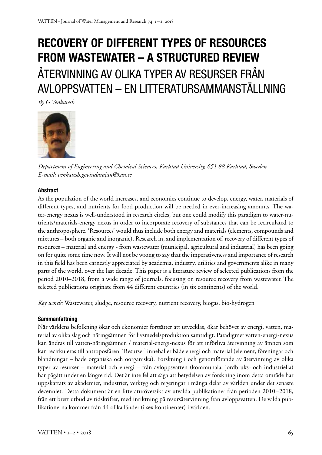# **RECOVERY OF DIFFERENT TYPES OF RESOURCES FROM WASTEWATER – A STRUCTURED REVIEW**  ÅTERVINNING AV OLIKA TYPER AV RESURSER FRÅN AVLOPPSVATTEN – EN LITTERATURSAMMANSTÄLLNING

*By G Venkatesh*



*Department of Engineering and Chemical Sciences, Karlstad University, 651 88 Karlstad, Sweden E-mail: venkatesh.govindarajan@kau.se*

### **Abstract**

As the population of the world increases, and economies continue to develop, energy, water, materials of different types, and nutrients for food production will be needed in ever-increasing amounts. The water-energy nexus is well-understood in research circles, but one could modify this paradigm to water-nutrients/materials-energy nexus in order to incorporate recovery of substances that can be recirculated to the anthroposphere. 'Resources' would thus include both energy and materials (elements, compounds and mixtures – both organic and inorganic). Research in, and implementation of, recovery of different types of resources – material and energy - from wastewater (municipal, agricultural and industrial) has been going on for quite some time now. It will not be wrong to say that the imperativeness and importance of research in this field has been earnestly appreciated by academia, industry, utilities and governments alike in many parts of the world, over the last decade. This paper is a literature review of selected publications from the period 2010–2018, from a wide range of journals, focusing on resource recovery from wastewater. The selected publications originate from 44 different countries (in six continents) of the world.

*Key words:* Wastewater, sludge, resource recovery, nutrient recovery, biogas, bio-hydrogen

#### **Sammanfattning**

När världens befolkning ökar och ekonomier fortsätter att utvecklas, ökar behövet av energi, vatten, material av olika slag och näringsämnen för livsmedelsproduktion samtidigt. Paradigmet vatten-energi-nexus kan ändras till vatten-näringsämnen / material-energi-nexus för att införliva återvinning av ämnen som kan recirkuleras till antroposfären. 'Resurser' innehåller både energi och material (element, föreningar och blandningar – både organiska och oorganiska). Forskning i och genomförande av återvinning av olika typer av resurser – material och energi – från avloppsvatten (kommunala, jordbruks- och industriella) har pågått under en längre tid. Det är inte fel att säga att betydelsen av forskning inom detta område har uppskattats av akademier, industrier, verktyg och regeringar i många delar av världen under det senaste decenniet. Detta dokument är en litteraturöversikt av utvalda publikationer från perioden 2010–2018, från ett brett utbud av tidskrifter, med inriktning på resursåtervinning från avloppsvatten. De valda publikationerna kommer från 44 olika länder (i sex kontinenter) i världen.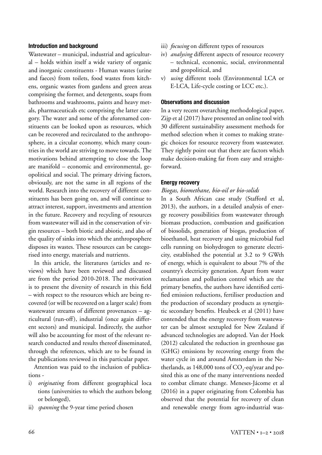#### **Introduction and background**

Wastewater – municipal, industrial and agricultural – holds within itself a wide variety of organic and inorganic constituents - Human wastes (urine and faeces) from toilets, food wastes from kitchens, organic wastes from gardens and green areas comprising the former, and detergents, soaps from bathrooms and washrooms, paints and heavy metals, pharmaceuticals etc comprising the latter category. The water and some of the aforenamed constituents can be looked upon as resources, which can be recovered and recirculated to the anthroposphere, in a circular economy, which many countries in the world are striving to move towards. The motivations behind attempting to close the loop are manifold – economic and environmental, geopolitical and social. The primary driving factors, obviously, are not the same in all regions of the world. Research into the recovery of different constituents has been going on, and will continue to attract interest, support, investments and attention in the future. Recovery and recycling of resources from wastewater will aid in the conservation of virgin resources – both biotic and abiotic, and also of the quality of sinks into which the anthroposphere disposes its wastes. These resources can be categorised into energy, materials and nutrients.

In this article, the literatures (articles and reviews) which have been reviewed and discussed are from the period 2010-2018. The motivation is to present the diversity of research in this field – with respect to the resources which are being recovered (or will be recovered on a larger scale) from wastewater streams of different provenances – agricultural (run-off), industrial (once again different sectors) and municipal. Indirectly, the author will also be accounting for most of the relevant research conducted and results thereof disseminated, through the references, which are to be found in the publications reviewed in this particular paper.

Attention was paid to the inclusion of publications -

- i) *originating* from different geographical loca tions (universities to which the authors belong or belonged),
- ii) *spanning* the 9-year time period chosen
- iii) *focusing* on different types of resources
- iv) *analysing* different aspects of resource recovery – technical, economic, social, environmental and geopolitical, and
- v) *using* different tools (Environmental LCA or E-LCA, Life-cycle costing or LCC etc.).

#### **Observations and discussion**

In a very recent overarching methodological paper, Zijp et al (2017) have presented an online tool with 30 different sustainability assessment methods for method selection when it comes to making strategic choices for resource recovery from wastewater. They rightly point out that there are factors which make decision-making far from easy and straightforward.

#### **Energy recovery**

# *Biogas, biomethane, bio-oil or bio-solids*

In a South African case study (Stafford et al, 2013), the authors, in a detailed analysis of energy recovery possibilities from wastewater through biomass production, combustion and gasification of biosolids, generation of biogas, production of bioethanol, heat recovery and using microbial fuel cells running on biohydrogen to generate electricity, established the potential at 3.2 to 9 GWth of energy, which is equivalent to about 7% of the country's electricity generation. Apart from water reclamation and pollution control which are the primary benefits, the authors have identified certified emission reductions, fertiliser production and the production of secondary products as synergistic secondary benefits. Heubeck et al (2011) have contended that the energy recovery from wastewater can be almost sextupled for New Zealand if advanced technologies are adopted. Van der Hoek (2012) calculated the reduction in greenhouse gas (GHG) emissions by recovering energy from the water cycle in and around Amsterdam in the Netherlands, as  $148,000$  tons of  $\mathrm{CO}_2$ -eq/year and posited this as one of the many interventions needed to combat climate change. Meneses-Jácome et al (2016) in a paper originating from Colombia has observed that the potential for recovery of clean and renewable energy from agro-industrial was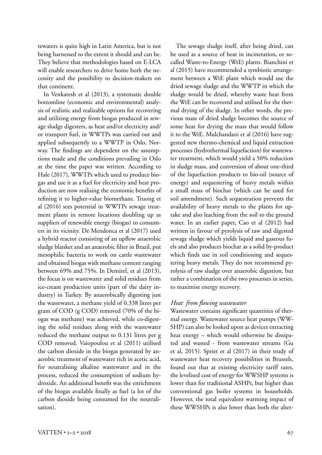tewaters is quite high in Latin America, but is not being harnessed to the extent it should and can be. They believe that methodologies based on E-LCA will enable researchers to drive home both the necessity and the possibility to decision-makers on that continent.

In Venkatesh et al (2013), a systematic double bottomline (economic and environmental) analysis of realistic and realizable options for recovering and utilizing energy from biogas produced in sewage sludge digesters, as heat and/or electricity and/ or transport fuel, in WWTPs was carried out and applied subsequently to a WWTP in Oslo, Norway. The findings are dependent on the assumptions made and the conditions prevailing in Oslo at the time the paper was written. According to Hale (2017), WWTPs which used to produce biogas and use it as a fuel for electricity and heat production are now realising the economic benefits of refining it to higher-value biomethane. Truong et al (2016) sees potential in WWTPs sewage treatment plants in remote locations doubling up as suppliers of renewable energy (biogas) to consumers in its vicinity. De Mendonca et al (2017) used a hybrid reactor consisting of an upflow anaerobic sludge blanket and an anaerobic filter in Brazil, put mesophilic bacteria to work on cattle wastewater and obtained biogas with methane content ranging between 69% and 75%. In Demirel, et al (2013), the focus is on wastewater and solid residues from ice-cream production units (part of the dairy industry) in Turkey. By anaerobically digesting just the wastewater, a methane yield of 0.338 litres per gram of COD (g COD) removed (70% of the biogas was methane) was achieved, while co-digesting the solid residues along with the wastewater reduced the methane output to 0.131 litres per g COD removed. Vaiopoulou et al (2011) utilised the carbon dioxide in the biogas generated by anaerobic treatment of wastewater rich in acetic acid, for neutralising alkaline wastewater and in the process, reduced the consumption of sodium hydroxide. An additional benefit was the enrichment of the biogas available finally as fuel (a lot of the carbon dioxide being consumed for the neutralisation).

The sewage sludge itself, after being dried, can be used as a source of heat in incineration, or socalled Waste-to-Energy (WtE) plants. Bianchini et al (2015) have recommended a symbiotic arrangement between a WtE plant which would use the dried sewage sludge and the WWTP in which the sludge would be dried, whereby waste heat from the WtE can be recovered and utilised for the thermal drying of the sludge. In other words, the previous mass of dried sludge becomes the source of some heat for drying the mass that would follow it to the WtE. Mulchandani et al (2016) have suggested new thermo-chemical and liquid extraction processes (hydrothermal liquefaction) for wastewater treatment, which would yield a 50% reduction in sludge mass, and conversion of about one-third of the liquefaction products to bio-oil (source of energy) and sequestering of heavy metals within a small mass of biochar (which can be used for soil amendment). Such sequestration prevents the availability of heavy metals to the plants for uptake and also leaching from the soil to the ground water. In an earlier paper, Cao et al (2012) had written in favour of pyrolysis of raw and digested sewage sludge which yields liquid and gaseous fuels and also produces biochar as a solid by-product which finds use in soil conditioning and sequestering heavy metals. They do not recommend pyrolysis of raw sludge over anaerobic digestion, but rather a combination of the two processes in series, to maximise energy recovery.

# *Heat from flowing wastewater*

Wastewater contains significant quantities of thermal energy. Wastewater source heat pumps (WW-SHP) can also be looked upon as devices extracting heat energy – which would otherwise be dissipated and wasted - from wastewater streams (Gu et al, 2015). Spriet et al (2017) in their study of wastewater heat recovery possibilities in Brussels, found out that at existing electricity tariff rates, the levelised cost of energy for WWSHP systems is lower than for traditional ASHPs, but higher than conventional gas boiler systems in households. However, the total equivalent warming impact of these WWSHPs is also lower than both the alter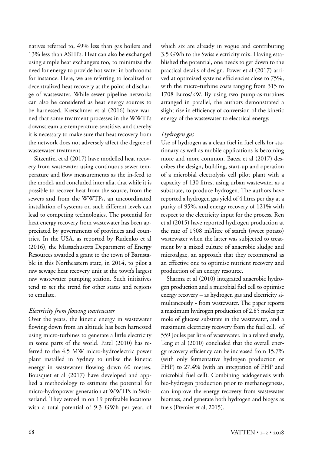natives referred to, 49% less than gas boilers and 13% less than ASHPs. Heat can also be exchanged using simple heat exchangers too, to minimize the need for energy to provide hot water in bathrooms for instance. Here, we are referring to localized or decentralized heat recovery at the point of discharge of wastewater. While sewer pipeline networks can also be considered as heat energy sources to be harnessed, Kretschmer et al (2016) have warned that some treatment processes in the WWTPs downstream are temperature-sensitive, and thereby it is necessary to make sure that heat recovery from the network does not adversely affect the degree of wastewater treatment.

Sitzenfrei et al (2017) have modelled heat recovery from wastewater using continuous sewer temperature and flow measurements as the in-feed to the model, and concluded inter alia, that while it is possible to recover heat from the source, from the sewers and from the WWTPs, an uncoordinated installation of systems on such different levels can lead to competing technologies. The potential for heat energy recovery from wastewater has been appreciated by governments of provinces and countries. In the USA, as reported by Rudenko et al (2016), the Massachusetts Department of Energy Resources awarded a grant to the town of Barnstable in this Northeastern state, in 2014, to pilot a raw sewage heat recovery unit at the town's largest raw wastewater pumping station. Such initiatives tend to set the trend for other states and regions to emulate.

# *Electricity from flowing wastewater*

Over the years, the kinetic energy in wastewater flowing down from an altitude has been harnessed using micro-turbines to generate a little electricity in some parts of the world. Patel (2010) has referred to the 4.5 MW micro-hydroelectric power plant installed in Sydney to utilise the kinetic energy in wastewater flowing down 60 metres. Bousquet et al (2017) have developed and applied a methodology to estimate the potential for micro-hydropower generation at WWTPs in Switzerland. They zeroed in on 19 profitable locations with a total potential of 9.3 GWh per year; of which six are already in vogue and contributing 3.5 GWh to the Swiss electricity mix. Having established the potential, one needs to get down to the practical details of design. Power et al (2017) arrived at optimised systems efficiencies close to 75%, with the micro-turbine costs ranging from 315 to 1708 Euros/kW. By using two pump-as-turbines arranged in parallel, the authors demonstrated a slight rise in efficiency of conversion of the kinetic energy of the wastewater to electrical energy.

#### *Hydrogen gas*

Use of hydrogen as a clean fuel in fuel cells for stationary as well as mobile applications is becoming more and more common. Baeza et al (2017) describes the design, building, start-up and operation of a microbial electrolysis cell pilot plant with a capacity of 130 litres, using urban wastewater as a substrate, to produce hydrogen. The authors have reported a hydrogen gas yield of 4 litres per day at a purity of 95%, and energy recovery of 121% with respect to the electricity input for the process. Ren et al (2015) have reported hydrogen production at the rate of 1508 ml/litre of starch (sweet potato) wastewater when the latter was subjected to treatment by a mixed culture of anaerobic sludge and microalgae, an approach that they recommend as an effective one to optimise nutrient recovery and production of an energy resource.

Sharma et al (2010) integrated anaerobic hydrogen production and a microbial fuel cell to optimise energy recovery – as hydrogen gas and electricity simultaneously - from wastewater. The paper reports a maximum hydrogen production of 2.85 moles per mole of glucose substrate in the wastewater, and a maximum electricity recovery from the fuel cell, of 559 Joules per litre of wastewater. In a related study, Teng et al (2010) concluded that the overall energy recovery efficiency can be increased from 15.7% (with only fermentative hydrogen production or FHP) to 27.4% (with an integration of FHP and microbial fuel cell). Combining acidogenesis with bio-hydrogen production prior to methanogenesis, can improve the energy recovery from wastewater biomass, and generate both hydrogen and biogas as fuels (Premier et al, 2015).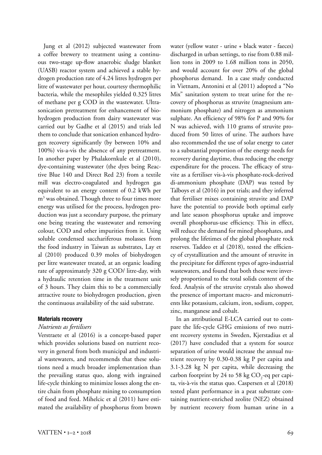Jung et al (2012) subjected wastewater from a coffee brewery to treatment using a continuous two-stage up-flow anaerobic sludge blanket (UASB) reactor system and achieved a stable hydrogen production rate of 4.24 litres hydrogen per litre of wastewater per hour, courtesy thermophilic bacteria, while the mesophiles yielded 0.325 litres of methane per g COD in the wastewater. Ultrasonication pretreatment for enhancement of biohydrogen production from dairy wastewater was carried out by Gadhe et al (2015) and trials led them to conclude that sonication enhanced hydrogen recovery significantly (by between 10% and 100%) vis-a-vis the absence of any pretreatment. In another paper by Phalakornkule et al (2010), dye-containing wastewater (the dyes being Reactive Blue 140 and Direct Red 23) from a textile mill was electro-coagulated and hydrogen gas equivalent to an energy content of 0.2 kWh per m3 was obtained. Though three to four times more energy was utilised for the process, hydrogen production was just a secondary purpose, the primary one being treating the wastewater and removing colour, COD and other impurities from it. Using soluble condensed sacchariferous molasses from the food industry in Taiwan as substrates, Lay et al (2010) produced 0.39 moles of biohydrogen per litre wastewater treated, at an organic loading rate of approximately 320 g COD/ litre-day, with a hydraulic retention time in the treatment unit of 3 hours. They claim this to be a commercially attractive route to biohydrogen production, given the continuous availability of the said substrate.

#### **Materials recovery**

#### *Nutrients as fertilisers*

Verstraete et al (2016) is a concept-based paper which provides solutions based on nutrient recovery in general from both municipal and industrial wastewaters, and recommends that these solutions need a much broader implementation than the prevailing status quo, along with ingrained life-cycle thinking to minimize losses along the entire chain from phosphate mining to consumption of food and feed. Mihelcic et al (2011) have estimated the availability of phosphorus from brown

water (yellow water - urine + black water - faeces) discharged in urban settings, to rise from 0.88 million tons in 2009 to 1.68 million tons in 2050, and would account for over 20% of the global phosphorus demand. In a case study conducted in Vietnam, Antonini et al (2011) adopted a "No Mix" sanitation system to treat urine for the recovery of phosphorus as struvite (magnesium ammonium phosphate) and nitrogen as ammonium sulphate. An efficiency of 98% for P and 90% for N was achieved, with 110 grams of struvite produced from 50 litres of urine. The authors have also recommended the use of solar energy to cater to a substantial proportion of the energy needs for recovery during daytime, thus reducing the energy expenditure for the process. The efficacy of struvite as a fertiliser vis-à-vis phosphate-rock-derived di-ammonium phosphate (DAP) was tested by Talboys et al (2016) in pot trials; and they inferred that fertiliser mixes containing struvite and DAP have the potential to provide both optimal early and late season phosphorus uptake and improve overall phosphorus-use efficiency. This in effect, will reduce the demand for mined phosphates, and prolong the lifetimes of the global phosphate rock reserves. Taddeo et al (2018), tested the efficiency of crystallization and the amount of struvite in the precipitate for different types of agro-industrial wastewaters, and found that both these were inversely proportional to the total solids content of the feed. Analysis of the struvite crystals also showed the presence of important macro- and micronutrients like potassium, calcium, iron, sodium, copper, zinc, manganese and cobalt.

In an attributional E-LCA carried out to compare the life-cycle GHG emissions of two nutrient recovery systems in Sweden, Kjerstadius et al (2017) have concluded that a system for source separation of urine would increase the annual nutrient recovery by 0.30-0.38 kg P per capita and 3.1-3.28 kg N per capita, while decreasing the carbon footprint by 24 to 58 kg  $CO_2$ -eq per capita, vis-à-vis the status quo. Caspersen et al (2018) tested plant performance in a peat substrate containing nutrient-enriched zeolite (NEZ) obtained by nutrient recovery from human urine in a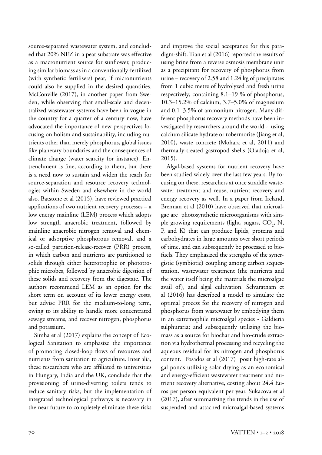source-separated wastewater system, and concluded that 20% NEZ in a peat substrate was effective as a macronutrient source for sunflower, producing similar biomass as in a conventionally-fertilized (with synthetic fertilisers) peat, if micronutrients could also be supplied in the desired quantities. McConville (2017), in another paper from Sweden, while observing that small-scale and decentralized wastewater systems have been in vogue in the country for a quarter of a century now, have advocated the importance of new perspectives focusing on holism and sustainability, including nutrients other than merely phosphorus, global issues like planetary boundaries and the consequences of climate change (water scarcity for instance). Entrenchment is fine, according to them, but there is a need now to sustain and widen the reach for source-separation and resource recovery technologies within Sweden and elsewhere in the world also. Batstone et al (2015), have reviewed practical applications of two nutrient recovery processes – a low energy mainline (LEM) process which adopts low strength anaerobic treatment, followed by mainline anaerobic nitrogen removal and chemical or adsorptive phosphorous removal, and a so-called partition-release-recover (PRR) process, in which carbon and nutrients are partitioned to solids through either heterotrophic or phototrophic microbes, followed by anaerobic digestion of these solids and recovery from the digestate. The authors recommend LEM as an option for the short term on account of its lower energy costs, but advise PRR for the medium-to-long term, owing to its ability to handle more concentrated sewage streams, and recover nitrogen, phosphorus and potassium.

Simha et al (2017) explains the concept of Ecological Sanitation to emphasize the importance of promoting closed-loop flows of resources and nutrients from sanitation to agriculture. Inter alia, these researchers who are affiliated to universities in Hungary, India and the UK, conclude that the provisioning of urine-diverting toilets tends to reduce sanitary risks; but the implementation of integrated technological pathways is necessary in the near future to completely eliminate these risks and improve the social acceptance for this paradigm-shift. Tian et al (2016) reported the results of using brine from a reverse osmosis membrane unit as a precipitant for recovery of phosphorus from urine – recovery of 2.58 and 1.24 kg of precipitates from 1 cubic metre of hydrolyzed and fresh urine respectively; containing 8.1–19 % of phosphorus, 10.3–15.2% of calcium, 3.7–5.0% of magnesium and 0.1–3.5% of ammonium nitrogen. Many different phosphorus recovery methods have been investigated by researchers around the world - using calcium silicate hydrate or tobermorite (Jiang et al, 2010), waste concrete (Mohara et al, 2011) and thermally-treated gastropod shells (Oladoja et al, 2015).

Algal-based systems for nutrient recovery have been studied widely over the last few years. By focusing on these, researchers at once straddle wastewater treatment and reuse, nutrient recovery and energy recovery as well. In a paper from Ireland, Brennan et al (2010) have observed that microalgae are photosynthetic microorganisms with simple growing requirements (light, sugars,  $CO<sub>2</sub>$ , N, P, and K) that can produce lipids, proteins and carbohydrates in large amounts over short periods of time, and can subsequently be processed to biofuels. They emphasized the strengths of the synergistic (symbiotic) coupling among carbon sequestration, wastewater treatment (the nutrients and the water itself being the materials the microalgae avail of), and algal cultivation. Selvaratnam et al (2016) has described a model to simulate the optimal process for the recovery of nitrogen and phosphorus from wastewater by embodying them in an extremophile microalgal species - Galdieria sulphuraria; and subsequently utilizing the biomass as a source for biochar and bio-crude extraction via hydrothermal processing and recycling the aqueous residual for its nitrogen and phosphorus content. Posados et al (2017) posit high-rate algal ponds utilizing solar drying as an economical and energy-efficient wastewater treatment and nutrient recovery alternative, costing about 24.4 Euros per person equivalent per year. Sukacova et al (2017), after summarizing the trends in the use of suspended and attached microalgal-based systems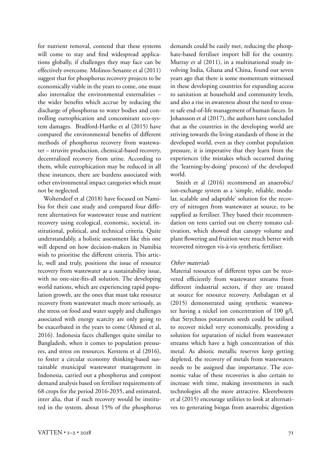for nutrient removal, contend that these systems will come to stay and find widespread applications globally, if challenges they may face can be effectively overcome. Molinos-Senante et al (2011) suggest that for phosphorus recovery projects to be economically viable in the years to come, one must also internalize the environmental externalities – the wider benefits which accrue by reducing the discharge of phosphorus to water bodies and controlling eutrophication and concomitant eco-system damages. Bradford-Hartke et al (2015) have compared the environmental benefits of different methods of phosphorus recovery from wastewater – struvite production, chemical-based recovery, decentralized recovery from urine. According to them, while eutrophication may be reduced in all these instances, there are burdens associated with other environmental impact categories which must not be neglected.

Woltersdorf et al (2018) have focused on Namibia for their case study and compared four different alternatives for wastewater reuse and nutrient recovery using ecological, economic, societal, institutional, political, and technical criteria. Quite understandably, a holistic assessment like this one will depend on how decision-makers in Namibia wish to prioritise the different criteria. This article, well and truly, positions the issue of resource recovery from wastewater as a sustainability issue, with no one-size-fits-all solution. The developing world nations, which are experiencing rapid population growth, are the ones that must take resource recovery from wastewater much more seriously, as the stress on food and water supply and challenges associated with energy scarcity are only going to be exacerbated in the years to come (Ahmed et al, 2016). Indonesia faces challenges quite similar to Bangladesh, when it comes to population pressures, and stress on resources. Kerstens et al (2016), to foster a circular economy thinking-based sustainable municipal wastewater management in Indonesia, carried out a phosphorus and compost demand analysis based on fertiliser requirements of 68 crops for the period 2016-2035, and estimated, inter alia, that if such recovery would be instituted in the system, about 15% of the phosphorus

 $VATTEN \cdot I = 2 \cdot 2018$  71

demands could be easily met, reducing the phosphate-based fertiliser import bill for the country. Murray et al (2011), in a multinational study involving India, Ghana and China, found out seven years ago that there is some momentum witnessed in these developing countries for expanding access to sanitation at household and community levels, and also a rise in awareness about the need to ensure safe end-of-life management of human faeces. In Johansson et al (2017), the authors have concluded that as the countries in the developing world are striving towards the living standards of those in the developed world, even as they combat population pressure, it is imperative that they learn from the experiences (the mistakes which occurred during the 'learning-by-doing' process) of the developed world.

Smith et al (2016) recommend an anaerobic/ ion-exchange system as a 'simple, reliable, modular, scalable and adaptable' solution for the recovery of nitrogen from wastewater at source, to be supplied as fertiliser. They based their recommendation on tests carried out on cherry tomato cultivation, which showed that canopy volume and plant flowering and fruition were much better with recovered nitrogen vis-à-vis synthetic fertiliser.

#### *Other materials*

Material resources of different types can be recovered efficiently from wastewater streams from different industrial sectors, if they are treated at source for resource recovery. Anbalagan et al (2015) demonstrated using synthetic wastewater having a nickel ion concentration of 100 g/l, that Strychnos potatorum seeds could be utilised to recover nickel very economically, providing a solution for separation of nickel from wastewater streams which have a high concentration of this metal. As abiotic metallic reserves keep getting depleted, the recovery of metals from wastewaters needs to be assigned due importance. The economic value of these recoveries is also certain to increase with time, making investments in such technologies all the more attractive. Kleerebezem et al (2015) encourage utilities to look at alternatives to generating biogas from anaerobic digestion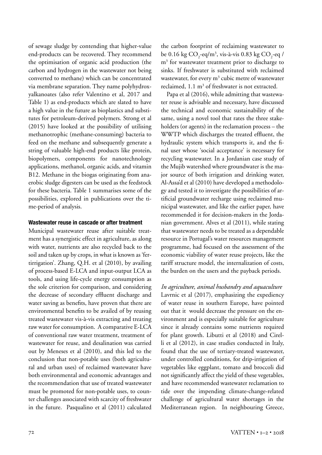of sewage sludge by contending that higher-value end-products can be recovered. They recommend the optimisation of organic acid production (the carbon and hydrogen in the wastewater not being converted to methane) which can be concentrated via membrane separation. They name polyhydroxyalkanoates (also refer Valentino et al, 2017 and Table 1) as end-products which are slated to have a high value in the future as bioplastics and substitutes for petroleum-derived polymers. Strong et al (2015) have looked at the possibility of utilising methanotrophic (methane-consuming) bacteria to feed on the methane and subsequently generate a string of valuable high-end products like protein, biopolymers, components for nanotechnology applications, methanol, organic acids, and vitamin B12. Methane in the biogas originating from anaerobic sludge digesters can be used as the feedstock for these bacteria. Table 1 summarises some of the possibilities, explored in publications over the time-period of analysis.

#### **Wastewater reuse in cascade or after treatment**

Municipal wastewater reuse after suitable treatment has a synergistic effect in agriculture, as along with water, nutrients are also recycled back to the soil and taken up by crops, in what is known as 'fertirrigation'. Zhang, Q.H. et al (2010), by availing of process-based E-LCA and input-output LCA as tools, and using life-cycle energy consumption as the sole criterion for comparison, and considering the decrease of secondary effluent discharge and water saving as benefits, have proven that there are environmental benefits to be availed of by reusing treated wastewater vis-à-vis extracting and treating raw water for consumption. A comparative E-LCA of conventional raw water treatment, treatment of wastewater for reuse, and desalination was carried out by Meneses et al (2010), and this led to the conclusion that non-potable uses (both agricultural and urban uses) of reclaimed wastewater have both environmental and economic advantages and the recommendation that use of treated wastewater must be promoted for non-potable uses, to counter challenges associated with scarcity of freshwater in the future. Pasqualino et al (2011) calculated the carbon footprint of reclaiming wastewater to be 0.16 kg CO<sub>2</sub>-eq/m<sup>3</sup>, vis-à-vis 0.83 kg CO<sub>2</sub>-eq / m3 for wastewater treatment prior to discharge to sinks. If freshwater is substituted with reclaimed wastewater, for every  $m^3$  cubic metre of wastewater reclaimed,  $1.1 \text{ m}^3$  of freshwater is not extracted.

Papa et al (2016), while admitting that wastewater reuse is advisable and necessary, have discussed the technical and economic sustainability of the same, using a novel tool that rates the three stakeholders (or agents) in the reclamation process – the WWTP which discharges the treated effluent, the hydraulic system which transports it, and the final user whose 'social acceptance' is necessary for recycling wastewater. In a Jordanian case study of the Mujib watershed where groundwater is the major source of both irrigation and drinking water, Al-Assa'd et al (2010) have developed a methodology and tested it to investigate the possibilities of artificial groundwater recharge using reclaimed municipal wastewater, and like the earlier paper, have recommended it for decision-makers in the Jordanian government. Alves et al (2011), while stating that wastewater needs to be treated as a dependable resource in Portugal's water resources management programme, had focused on the assessment of the economic viability of water reuse projects, like the tariff structure model, the internalization of costs, the burden on the users and the payback periods.

*In agriculture, animal husbandry and aquaculture* Lavrnic et al (2017), emphasizing the expediency of water reuse in southern Europe, have pointed out that it would decrease the pressure on the environment and is especially suitable for agriculture since it already contains some nutrients required for plant growth. Libutti et al (2018) and Cirelli et al (2012), in case studies conducted in Italy, found that the use of tertiary-treated wastewater, under controlled conditions, for drip-irrigation of vegetables like eggplant, tomato and broccoli did not significantly affect the yield of these vegetables, and have recommended wastewater reclamation to tide over the impending climate-change-related challenge of agricultural water shortages in the Mediterranean region. In neighbouring Greece,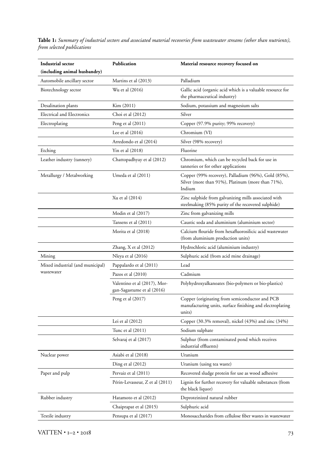**Table 1:** *Summary of industrial sectors and associated material recoveries from wastewater streams (other than nutrients), from selected publications*

| Industrial sector                              | Publication                                                | Material resource recovery focused on                                                                                 |
|------------------------------------------------|------------------------------------------------------------|-----------------------------------------------------------------------------------------------------------------------|
| (including animal husbandry)                   |                                                            |                                                                                                                       |
| Automobile ancillary sector                    | Martins et al (2013)                                       | Palladium                                                                                                             |
| Biotechnology sector                           | Wu et al (2016)                                            | Gallic acid (organic acid which is a valuable resource for<br>the pharmaceutical industry)                            |
| Desalination plants                            | Kim (2011)                                                 | Sodium, potassium and magnesium salts                                                                                 |
| <b>Electrical and Electronics</b>              | Choi et al (2012)                                          | Silver                                                                                                                |
| Electroplating                                 | Peng et al (2011)                                          | Copper (97.9% purity; 99% recovery)                                                                                   |
|                                                | Lee et al $(2016)$                                         | Chromium (VI)                                                                                                         |
|                                                | Arredondo et al (2014)                                     | Silver (98% recovery)                                                                                                 |
| Etching                                        | Yin et al (2018)                                           | Fluorine                                                                                                              |
| Leather industry (tannery)                     | Chattopadhyay et al (2012)                                 | Chromium, which can be recycled back for use in<br>tanneries or for other applications                                |
| Metallurgy / Metalworking                      | Umeda et al (2011)                                         | Copper (99% recovery), Palladium (96%), Gold (85%),<br>Silver (more than 91%), Platinum (more than 71%),<br>Indium    |
|                                                | Xu et al (2014)                                            | Zinc sulphide from galvanizing mills associated with<br>steelmaking (85% purity of the recovered sulphide)            |
|                                                | Modin et al (2017)                                         | Zinc from galvanizing mills                                                                                           |
|                                                | Tansens et al (2011)                                       | Caustic soda and aluminium (aluminium sector)                                                                         |
|                                                | Morita et al (2018)                                        | Calcium flouride from hexafluorosilicic acid wastewater<br>(from aluminium production units)                          |
|                                                | Zhang, X et al (2012)                                      | Hydrochloric acid (aluminium industry)                                                                                |
| Mining                                         | Nleya et al (2016)                                         | Sulphuric acid (from acid mine drainage)                                                                              |
| Mixed industrial (and municipal)<br>wastewater | Pappalardo et al (2011)                                    | Lead                                                                                                                  |
|                                                | Pazos et al (2010)                                         | Cadmium                                                                                                               |
|                                                | Valentino et al (2017), Mor-<br>gan-Sagastume et al (2016) | Polyhydroxyalkanoates (bio-polymers or bio-plastics)                                                                  |
|                                                | Peng et al (2017)                                          | Copper (originating from semiconductor and PCB<br>manufacturing units, surface finishing and electroplating<br>units) |
|                                                | Lei et al $(2012)$                                         | Copper (30.3% removal), nickel (43%) and zinc (34%)                                                                   |
|                                                | Tunc et al (2011)                                          | Sodium sulphate                                                                                                       |
|                                                | Selvaraj et al (2017)                                      | Sulphur (from contaminated pond which receives<br>industrial effluents)                                               |
| Nuclear power                                  | Asiabi et al (2018)                                        | Uranium                                                                                                               |
|                                                | Ding et al $(2012)$                                        | Uranium (using tea waste)                                                                                             |
| Paper and pulp                                 | Pervaiz et al (2011)                                       | Recovered sludge protein for use as wood adhesive                                                                     |
|                                                | Périn-Levasseur, Z et al (2011)                            | Lignin for further recovery for valuable substances (from<br>the black liquor)                                        |
| Rubber industry                                | Hatamoto et al (2012)                                      | Deproteinized natural rubber                                                                                          |
|                                                | Chaiprapat et al (2015)                                    | Sulphuric acid                                                                                                        |
| Textile industry                               | Pensupa et al (2017)                                       | Monosaccharides from cellulose fiber wastes in wastewater                                                             |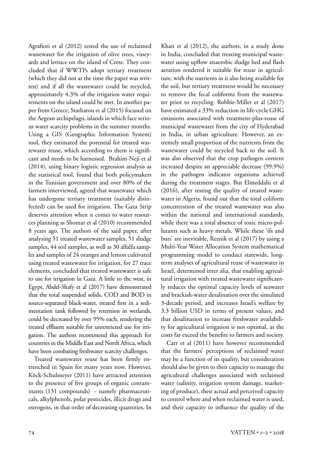Agrafioti et al (2012) tested the use of reclaimed wastewater for the irrigation of olive trees, vineyards and lettuce on the island of Crete. They concluded that if WWTPs adopt tertiary treatment (which they did not at the time the paper was written) and if all the wastewater could be recycled, approximately 4.3% of the irrigation water requirements on the island could be met. In another paper from Greece, Stathatou et al (2015) focused on the Aegean archipelago, islands in which face serious water scarcity problems in the summer months. Using a GIS (Geographic Information System) tool, they estimated the potential for treated wastewater reuse, which according to them is significant and needs to be harnessed. Brahim-Neji et al (2014), using binary logistic regression analysis as the statistical tool, found that both policymakers in the Tunisian government and over 80% of the farmers interviewed, agreed that wastewater which has undergone tertiary treatment (suitably disinfected) can be used for irrigation. The Gaza Strip deserves attention when it comes to water resources planning as Shomar et al (2010) recommended 8 years ago. The authors of the said paper, after analysing 51 treated wastewater samples, 51 sludge samples, 44 soil samples, as well as 30 alfalfa samples and samples of 24 oranges and lemon cultivated using treated wastewater for irrigation, for 27 trace elements, concluded that treated wastewater is safe to use for irrigation in Gaza. A little to the west, in Egypt, Abdel-Shafy et al (2017) have demonstrated that the total suspended solids, COD and BOD in source-separated black-water, treated first in a sedimentation tank followed by retention in wetlands, could be decreased by over 95% each, rendering the treated effluent suitable for unrestricted use for irrigation. The authors recommend this approach for countries in the Middle East and North Africa, which have been combating freshwater scarcity challenges.

Treated wastewater reuse has been firmly entrenched in Spain for many years now. However, Köck-Schulmeyer (2011) have attracted attention to the presence of five groups of organic contaminants (131 compounds) - namely pharmaceuticals, alkylphenols, polar pesticides, illicit drugs and estrogens, in that order of decreasing quantities. In Khan et al (2012), the authors, in a study done in India, concluded that treating municipal wastewater using upflow anaerobic sludge bed and flash aeration rendered it suitable for reuse in agriculture, with the nutrients in it also being available for the soil, but tertiary treatment would be necessary to remove the fecal coliforms from the wastewater prior to recycling. Robbie-Miller et al (2017) have estimated a 33% reduction in life-cycle GHG emissions associated with treatment-plus-reuse of municipal wastewater from the city of Hyderabad in India, in urban agriculture. However, an extremely small proportion of the nutrients from the wastewater could be recycled back to the soil. It was also observed that the crop pathogen content increased despite an appreciable decrease (99.9%) in the pathogen indicator organisms achieved during the treatment stages. But Elmeddahi et al (2016), after testing the quality of treated wastewater in Algeria, found out that the total coliform concentration of the treated wastewater was also within the national and international standards, while there was a total absence of toxic micro-pollutants such as heavy metals. While these 'ifs and buts' are inevitable, Reznik et al (2017) by using a Multi-Year Water Allocation System mathematical programming model to conduct statewide, longterm analyses of agricultural reuse of wastewater in Israel, determined inter alia, that enabling agricultural irrigation with treated wastewater significantly reduces the optimal capacity levels of seawater and brackish-water desalination over the simulated 3-decade period, and increases Israel's welfare by 3.3 billion USD in terms of present values, and that desalination to increase freshwater availability for agricultural irrigation is not optimal, as the costs far exceed the benefits to farmers and society.

Carr et al (2011) have however recommended that the farmers' perceptions of reclaimed water may be a function of its quality, but consideration should also be given to their capacity to manage the agricultural challenges associated with reclaimed water (salinity, irrigation system damage, marketing of produce), their actual and perceived capacity to control where and when reclaimed water is used, and their capacity to influence the quality of the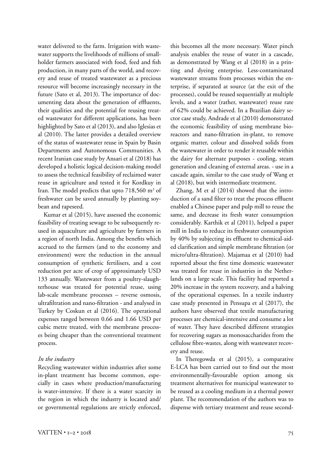water delivered to the farm. Irrigation with wastewater supports the livelihoods of millions of smallholder farmers associated with food, feed and fish production, in many parts of the world, and recovery and reuse of treated wastewater as a precious resource will become increasingly necessary in the future (Sato et al, 2013). The importance of documenting data about the generation of effluents, their qualities and the potential for reusing treated wastewater for different applications, has been highlighted by Sato et al (2013), and also Iglesias et al (2010). The latter provides a detailed overview of the status of wastewater reuse in Spain by Basin Departments and Autonomous Communities. A recent Iranian case study by Ansari et al (2018) has developed a holistic logical decision-making model to assess the technical feasibility of reclaimed water reuse in agriculture and tested it for Kordkuy in Iran. The model predicts that upto 718,560 m<sup>3</sup> of freshwater can be saved annually by planting soybean and rapeseed.

Kumar et al (2015), have assessed the economic feasibility of treating sewage to be subsequently reused in aquaculture and agriculture by farmers in a region of north India. Among the benefits which accrued to the farmers (and to the economy and environment) were the reduction in the annual consumption of synthetic fertilisers, and a cost reduction per acre of crop of approximately USD 133 annually. Wastewater from a poultry-slaughterhouse was treated for potential reuse, using lab-scale membrane processes – reverse osmosis, ultrafiltration and nano-filtration - and analysed in Turkey by Coskun et al (2016). The operational expenses ranged between 0.66 and 1.66 USD per cubic metre treated, with the membrane processes being cheaper than the conventional treatment process.

#### *In the industry*

Recycling wastewater within industries after some in-plant treatment has become common, especially in cases where production/manufacturing is water-intensive. If there is a water scarcity in the region in which the industry is located and/ or governmental regulations are strictly enforced, this becomes all the more necessary. Water pinch analysis enables the reuse of water in a cascade, as demonstrated by Wang et al (2018) in a printing and dyeing enterprise. Less-contaminated wastewater streams from processes within the enterprise, if separated at source (at the exit of the processes), could be reused sequentially at multiple levels, and a water (rather, wastewater) reuse rate of 62% could be achieved. In a Brazilian dairy sector case study, Andrade et al (2010) demonstrated the economic feasibility of using membrane bioreactors and nano-filtration in-plant, to remove organic matter, colour and dissolved solids from the wastewater in order to render it reusable within the dairy for alternate purposes - cooling, steam generation and cleaning of external areas. - use in a cascade again, similar to the case study of Wang et al (2018), but with intermediate treatment.

Zhang, M et al (2014) showed that the introduction of a sand filter to treat the process effluent enabled a Chinese paper and pulp mill to reuse the same, and decrease its fresh water consumption considerably. Karthik et al (2011), helped a paper mill in India to reduce its freshwater consumption by 40% by subjecting its effluent to chemical-aided clarification and simple membrane filtration (or micro/ultra-filtration). Majamaa et al (2010) had reported about the first time domestic wastewater was treated for reuse in industries in the Netherlands on a large scale. This facility had reported a 20% increase in the system recovery, and a halving of the operational expenses. In a textile industry case study presented in Pensupa et al (2017), the authors have observed that textile manufacturing processes are chemical-intensive and consume a lot of water. They have described different strategies for recovering sugars as monosaccharides from the cellulose fibre-wastes, along with wastewater recovery and reuse.

In Theregowda et al (2015), a comparative E-LCA has been carried out to find out the most environmentally-favourable option among six treatment alternatives for municipal wastewater to be reused as a cooling medium in a thermal power plant. The recommendation of the authors was to dispense with tertiary treatment and reuse second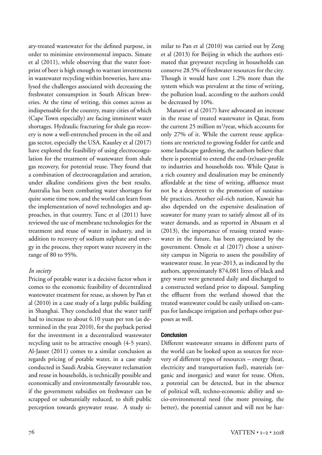ary-treated wastewater for the defined purpose, in order to minimize environmental impacts. Simate et al (2011), while observing that the water footprint of beer is high enough to warrant investments in wastewater recycling within breweries, have analysed the challenges associated with decreasing the freshwater consumption in South African breweries. At the time of writing, this comes across as indispensable for the country, many cities of which (Cape Town especially) are facing imminent water shortages. Hydraulic fracturing for shale gas recovery is now a well-entrenched process in the oil and gas sector, especially the USA. Kausley et al (2017) have explored the feasibility of using electrocoagulation for the treatment of wastewater from shale gas recovery, for potential reuse. They found that a combination of electrocoagulation and aeration, under alkaline conditions gives the best results. Australia has been combating water shortages for quite some time now, and the world can learn from the implementation of novel technologies and approaches, in that country. Tunc et al (2011) have reviewed the use of membrane technologies for the treatment and reuse of water in industry, and in addition to recovery of sodium sulphate and energy in the process, they report water recovery in the range of 80 to 95%.

# *In society*

Pricing of potable water is a decisive factor when it comes to the economic feasibility of decentralized wastewater treatment for reuse, as shown by Pan et al (2010) in a case study of a large public building in Shanghai. They concluded that the water tariff had to increase to about 6.10 yuan per ton (as determined in the year 2010), for the payback period for the investment in a decentralized wastewater recycling unit to be attractive enough (4-5 years). Al-Jasser (2011) comes to a similar conclusion as regards pricing of potable water, in a case study conducted in Saudi Arabia. Greywater reclamation and reuse in households, is technically possible and economically and environmentally favourable too, if the government subsidies on freshwater can be scrapped or substantially reduced, to shift public perception towards greywater reuse. A study similar to Pan et al (2010) was carried out by Zeng et al (2013) for Beijing in which the authors estimated that greywater recycling in households can conserve 28.5% of freshwater resources for the city. Though it would have cost 1.2% more than the system which was prevalent at the time of writing, the pollution load, according to the authors could be decreased by 10%.

Manawi et al (2017) have advocated an increase in the reuse of treated wastewater in Qatar, from the current 25 million m3 /year, which accounts for only 27% of it. While the current reuse applications are restricted to growing fodder for cattle and some landscape gardening, the authors believe that there is potential to extend the end-(re)user-profile to industries and households too. While Qatar is a rich country and desalination may be eminently affordable at the time of writing, affluence must not be a deterrent to the promotion of sustainable practices. Another oil-rich nation, Kuwait has also depended on the expensive desalination of seawater for many years to satisfy almost all of its water demands, and as reported in Abusam et al (2013), the importance of reusing treated wastewater in the future, has been appreciated by the government. Omole et al (2017) chose a university campus in Nigeria to assess the possibility of wastewater reuse. In year-2013, as indicated by the authors, approximately 874,081 litres of black and grey water were generated daily and discharged to a constructed wetland prior to disposal. Sampling the effluent from the wetland showed that the treated wastewater could be easily utilised on-campus for landscape irrigation and perhaps other purposes as well.

# **Conclusion**

Different wastewater streams in different parts of the world can be looked upon as sources for recovery of different types of resources – energy (heat, electricity and transportation fuel), materials (organic and inorganic) and water for reuse. Often, a potential can be detected, but in the absence of political will, techno-economic ability and socio-environmental need (the more pressing, the better), the potential cannot and will not be har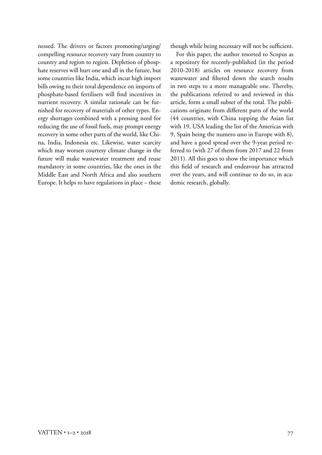nessed. The drivers or factors promoting/urging/ compelling resource recovery vary from country to country and region to region. Depletion of phosphate reserves will hurt one and all in the future, but some countries like India, which incur high import bills owing to their total dependence on imports of phosphate-based fertilisers will find incentives in nutrient recovery. A similar rationale can be furnished for recovery of materials of other types. Energy shortages combined with a pressing need for reducing the use of fossil fuels, may prompt energy recovery in some other parts of the world, like China, India, Indonesia etc. Likewise, water scarcity which may worsen courtesy climate change in the future will make wastewater treatment and reuse mandatory in some countries, like the ones in the Middle East and North Africa and also southern Europe. It helps to have regulations in place – these though while being necessary will not be sufficient.

For this paper, the author resorted to Scopus as a repository for recently-published (in the period 2010-2018) articles on resource recovery from wastewater and filtered down the search results in two steps to a more manageable one. Thereby, the publications referred to and reviewed in this article, form a small subset of the total. The publications originate from different parts of the world (44 countries, with China topping the Asian list with 19, USA leading the list of the Americas with 9, Spain being the numero uno in Europe with 8), and have a good spread over the 9-year period referred to (with 27 of them from 2017 and 22 from 2011). All this goes to show the importance which this field of research and endeavour has attracted over the years, and will continue to do so, in academic research, globally.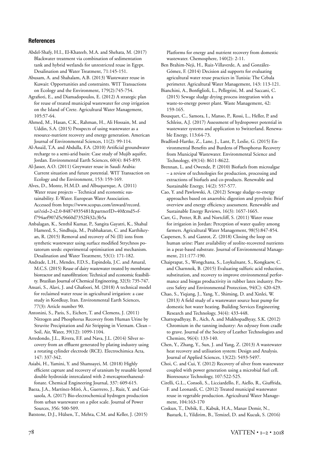#### **References**

Abdel-Shafy, H.I., El-Khateeb, M.A. and Shehata, M. (2017) Blackwater treatment via combination of sedimentation tank and hybrid wetlands for unrestricted reuse in Egypt. Desalination and Water Treatment, 71:145-151.

Abusam, A. and Shahalam, A.B. (2013) Wastewater reuse in Kuwait: Opportunities and constraints. WIT Transactions on Ecology and the Environment, 179(2):745-754.

Agrafioti, E., and Diamadopoulos, E. (2012) A strategic plan for reuse of treated municipal wastewater for crop irrigation on the Island of Crete. Agricultural Water Management, 105:57-64.

Ahmed, M., Hasan, C.K., Rahman, H., Ali Hossain, M. and Uddin, S.A. (2015) Prospects of using wastewater as a resource-nutrient recovery and energy generation. American Journal of Environmental Sciences, 11(2): 99-114.

Al-Assa'd, T.A. and Abdulla, F.A. (2010) Artificial groundwater recharge to a semi-arid basin: Case study of Mujib aquifer, Jordan. Environmental Earth Sciences, 60(4): 845-859.

Al-Jasser, A.O. (2011) Greywater reuse in Saudi Arabia: Current situation and future potential. WIT Transaction on Ecology and the Environment, 153: 159-169.

Alves, D., Monte, H.M.D. and Albuquerque, A. (2011) Water reuse projects – Technical and economic sustainability. E-Water. European Water Association. Accessed from https://www.scopus.com/inward/record. uri?eid=2-s2.0-84874935481&partnerID=40&md5=ff794aef907d5c9660d7352f432c3b5a

Anbalagan, K., Senthil Kumar, P., Sangita Gayatri, K., Shahul Hameed, S., Sindhuja, M., Prabhakaran, C. and Karthikeyan, R. (2015) Removal and recovery of Ni (II) ions from synthetic wastewater using surface modified Strychnos potatorum seeds: experimental optimisation and mechanism. Desalination and Water Treatment, 53(1): 171-182.

Andrade, L.H., Mendes, F.D.S., Espindola, J.C. and Amaral, M.C.S. (2015) Reuse of dairy wastewater treated by membrane bioreactor and nanofiltration: Technical and economic feasibility. Brazilian Journal of Chemical Engineering, 32(3): 735-747.

Ansari, S., Alavi, J. and Ghafoori, M. (2018) A technical model for reclaimed water reuse in agricultural irrigation: a case study in Kordkuy, Iran. Environmental Earth Sciences, 77(3): Article number 90.

Antonini, S., Paris, S., Eichert, T. and Clemens, J. (2011) Nitrogen and Phosphorus Recovery from Human Urine by Struvite Precipitation and Air Stripping in Vietnam. Clean – Soil, Air, Water, 39(12): 1099-1104.

Arredondo, J.L., Rivera, F.F. and Nava, J.L. (2014) Silver recovery from an effluent generated by plating industry using a rotating cylinder electrode (RCE). Electrochimica Acta, 147: 337-342.

Asiabi, H., Yamini, Y. and Shamsayei, M. (2018) Highly efficient capture and recovery of uranium by reusable layered double hydroxide intercalated with 2-mercaptoethanesulfonate. Chemical Engineering Journal, 337: 609-615.

Baeza, J.A., Martínez-Miró, À., Guerrero, J., Ruiz, Y. and Guisasola, A. (2017) Bio-electrochemical hydrogen production from urban wastewater on a pilot scale. Journal of Power Sources, 356: 500-509.

Batstone, D.J., Hülsen, T., Mehta, C.M. and Keller, J. (2015)

Platforms for energy and nutrient recovery from domestic wastewater. Chemosphere, 140(2): 2-11.

Ben Brahim-Neji, H., Ruiz-Villaverde, A. and González-Gómez, F. (2014) Decision aid supports for evaluating agricultural water reuse practices in Tunisia: The Cebala perimeter. Agricultural Water Management, 143: 113-121.

Bianchini, A., Bonfiglioli, L., Pellegrini, M. and Saccani, C. (2015) Sewage sludge drying process integration with a waste-to-energy power plant. Waste Management, 42: 159-165.

Bousquet, C., Samora, I., Manso, P., Rossi, L., Heller, P. and Schleiss, A.J. (2017) Assessment of hydropower potential in wastewater systems and application to Switzerland. Renewable Energy, 113:64-73.

Bradford-Hartke, Z., Lane, J., Lant, P., Leslie, G. (2015) Environmental Benefits and Burdens of Phosphorus Recovery from Municipal Wastewater. Environmental Science and Technology, 49(14): 8611-8622.

Brennan, L. and Owende, P. (2010) Biofuels from microalgae – a review of technologies for production, processing and extractions of biofuels and co-products. Renewable and Sustainable Energy, 14(2): 557-577.

Cao, Y. and Pawlowski, A. (2012) Sewage sludge-to-energy approaches based on anaerobic digestion and pyrolysis: Brief overview and energy efficiency assessment. Renewable and Sustainable Energy Reviews, 16(3): 1657-1665.

Carr, G., Potter, R.B. and Nortcliff, S. (2011) Water reuse for irrigation in Jordan: Perception of water quality among farmers. Agricultural Water Management, 98(5):847-854.

Caspersen, S. and Ganrot, Z. (2018) Closing the loop on human urine: Plant availability of zeolite-recovered nutrients in a peat-based substrate. Journal of Environmental Management, 211:177-190.

Chaiprapat, S., Wongchana, S., Loykulnant, S., Kongkaew, C. and Charnnok, B. (2015) Evaluating sulfuric acid reduction, substitution, and recovery to improve environmental performance and biogas productivity in rubber latex industry. Process Safety and Environmental Protection, 94(C): 420-429.

Chao, S., Yiqiang, J., Yang, Y., Shiming, D. and Xinlei, W. (2013) A field study of a wastewater source heat pump for domestic hot water heating. Building Services Engineering Research and Technology, 34(4): 433-448.

Chattopadhyay, B., Aich, A. and Mukhopadhyay, S.K. (2012) Chromium in the tanning industry: An odyssey from cradle to grave. Journal of the Society of Leather Technologists and Chemists, 96(4): 133-140.

Chen, Y., Zhang, Y., Sun, J. and Yang, Z. (2013) A wastewater heat recovery and utilisation system: Design and Analysis. Journal of Applied Sciences, 13(22): 5493-5497.

Choi, C. and Cui, Y. (2012) Recovery of silver from wastewater coupled with power generation using a microbial fuel cell. Bioresource Technology, 107:522-525.

Cirelli, G.L., Consoli, S., Licciardello, F., Aiello, R., Giuffrida, F. and Leonardi, C. (2012) Treated municipal wastewater reuse in vegetable production. Agricultural Water Management, 104:163-170

Coskun, T., Debik, E., Kabuk, H.A., Manav Demir, N., Basturk, I., Yildirim, B., Temizel, D. and Kucuk, S. (2016)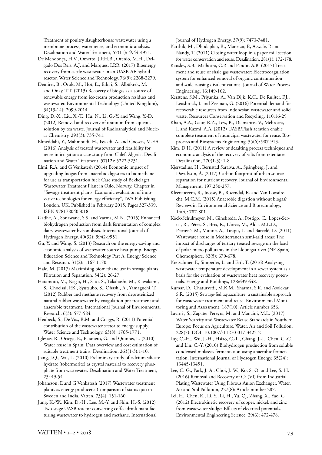Treatment of poultry slaughterhouse wastewater using a membrane process, water reuse, and economic analysis. Desalination and Water Treatment, 57(11): 4944-4951.

De Mendonça, H.V., Ometto, J.P.H.B., Otenio, M.H., Delgado Dos Reis, A.J. and Marques, I.P.R. (2017) Bioenergy recovery from cattle wastewater in an UASB-AF hybrid reactor. Water Science and Technology, 76(9): 2268-2279.

Demirel, B., Örok, M., Hot, E., Erki i, S., Albükrek, M. and Onay, T.T. (2013) Recovery of biogas as a source of renewable energy from ice-cream production residues and wastewater. Environmental Technology (United Kingdom), 34(13-14): 2099-2014.

Ding, D.-X., Liu, X.-T., Hu, N., Li, G.-Y. and Wang, Y.-D. (2012) Removal and recovery of uranium from aqueous solution by tea waste. Journal of Radioanalytical and Nuclear Chemistry, 293(3): 735-741.

Elmeddahi, Y., Mahmoudi, H., Issaadi, A. and Goosen, M.F.A. (2016) Analysis of treated wastewater and feasibility for reuse in irrigation: a case study from Chlef, Algeria. Desalination and Water Treatment, 57(12): 5222-5231.

Elmi, R.A. and G Venkatesh (2014) Economic impact of upgrading biogas from anaerobic digesters to biomethane for use as transportation fuel: Case study of Bekkelaget Wastewater Treatment Plant in Oslo, Norway. Chapter in "Sewage treatment plants: Economic evaluation of innovative technologies for energy efficiency", IWA Publishing, London, UK, Published in February 2015. Pages 327-339. ISBN 9781780405018.

Gadhe, A., Sonawane, S.S. and Varma, M.N. (2015) Enhanced biohydrogen production from dark fermentation of complex dairy wastewater by sonolysis. International Journal of Hydrogen Energy, 40(32): 9942-9951.

Gu, Y. and Wang, S. (2013) Research on the energy-saving and economic analysis of wastewater source heat pump. Energy Education Science and Technology Part A: Energy Science and Research. 31(2): 1167-1170.

Hale, M. (2017) Maximising biomethane use in sewage plants. Filtration and Separation, 54(2): 26-27.

Hatamoto, M., Nagai, H., Sato, S., Takahashi, M., Kawakami, S., Choeisai, P.K., Syutsubo, S., Ohashi, A., Yamaguchi, T. (2012) Rubber and methane recovery from deproteinized natural rubber wastewater by coagulation pre-treatment and anaerobic treatment. International Journal of Environmental Research, 6(3): 577-584.

Heubeck, S., De Vos, R.M. and Craggs, R. (2011) Potential contribution of the wastewater sector to energy supply. Water Science and Technology, 63(8): 1765-1771.

Iglesias, R., Ortega, E., Batanero, G. and Quintas, L. (2010) Water reuse in Spain: Data overview and cost estimation of suitable treatment trains. Desalination, 263(1-3):1-10.

Jiang, J.Q., Wu, L. (2010) Preliminary study of calcium silicate hydrate (tobermorite) as crystal material to recovery phosphate from wastewater. Desalination and Water Treatment, 23: 49-54.

Johansson, E and G Venkatesh (2017) Wastewater treatment plants as energy producers: Comparison of status quo in Sweden and India. Vatten, 73(4): 151-160.

Jung, K.-W., Kim, D.-H., Lee, M.-Y. and Shin, H.-S. (2012) Two-stage UASB reactor converting coffee drink manufacturing wastewater to hydrogen and methane. International Journal of Hydrogen Energy, 37(9): 7473-7481.

- Karthik, M., Dhodapkar, R., Manekar, P., Aswale, P. and Nandy, T. (2011) Closing water loop in a paper mill section for water conservation and reuse. Desalination, 281(1): 172-178.
- Kausley, S.B., Malhotra, C.P. and Pandit, A.B. (2017) Treatment and reuse of shale gas wastewater: Electrocoagulation system for enhanced removal of organic contamination and scale causing divalent cations. Journal of Water Process Engineering, 16:149-162.

Kerstens, S.M., Priyanka, A., Van Dijk, K.C., De Ruijter, F.J., Leusbrock, I. and Zeeman, G. (2016) Potential demand for recoverable resources from Indonesian wastewater and solid waste. Resources Conservation and Recycling, 110:16-29

Khan, A.A., Gaur, R.Z., Lew, B., Diamantis, V., Mehrotra, I. and Kazmi, A.A. (2012) UASB/Flash aeration enable complete treatment of municipal wastewater for reuse. Bioprocess and Biosystems Engineering. 35(6): 907-913.

Kim, D.H. (2011) A review of desalting process techniques and economic analysis of the recovery of salts from retentates. Desalination, 270(1-3): 1-8.

Kjerstadius, H., Bernstad Saraiva, A., Spångberg, J. and Davidsson, Å. (2017) Carbon footprint of urban source separation for nutrient recovery. Journal of Environmental Management, 197:250-257.

Kleerebezem, R., Joosse, B., Rozendal, R. and Van Loosdrecht, M.C.M. (2015) Anaerobic digestion without biogas? Reviews in Environmental Science and Biotechnology, 14(4): 787-801.

Köck-Schulmeyer, M., Ginebreda, A., Postigo, C., López-Serna, R., Pérez, S., Brix, R., Llorca, M., Alda, M.L.D., Petrović, M., Munné, A., Tirapu, L. and Barceló, D. (2011) Wastewater reuse in Mediterranean semi-arid areas: The impact of discharges of tertiary treated sewage on the load of polar micro pollutants in the Llobregat river (NE Spain) Chemosphere, 82(5): 670-678.

Kretschmer, F., Simperler, L. and Ertl, T. (2016) Analysing wastewater temperature development in a sewer system as a basis for the evaluation of wastewater heat recovery potentials. Energy and Buildings, 128:639-648.

Kumar, D., Chaturvedi, M.K.M., Sharma, S.K. and Asolekar, S.R. (2015) Sewage-fed aquaculture: a sustainable approach for wastewater treatment and reuse. Environmental Monitoring and Assessment, 187(10): Article number 656.

Lavrni , S., Zapater-Pereyra, M. and Mancini, M.L. (2017) Water Scarcity and Wastewater Reuse Standards in Southern Europe: Focus on Agriculture. Water, Air and Soil Pollution, 228(7): DOI: 10.1007/s11270-017-3425-2

Lay, C.-H., Wu, J.-H., Hsiao, C.-L., Chang, J.-J., Chen, C.-C. and Lin, C.-Y. (2010) Biohydrogen production from soluble condensed molasses fermentation using anaerobic fermentation. International Journal of Hydrogen Energy, 35(24): 13445-13451.

Lee, C.-G., Park, J.-A., Choi, J.-W., Ko, S.-O. and Lee, S.-H. (2016) Removal and Recovery of Cr (VI) from Industrial Plating Wastewater Using Fibrous Anion Exchanger. Water, Air and Soil Pollution, 227(8): Article number 287.

Lei, H., Chen, K., Li, Y., Li, H., Yu, Q., Zhang, X., Yao, C. (2012) Electrokinetic recovery of copper, nickel, and zinc from wastewater sludge: Effects of electrical potentials. Environmental Engineering Science, 29(6): 472-478.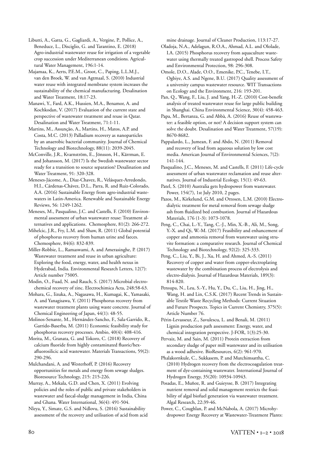Libutti, A., Gatta, G., Gagliardi, A., Vergine, P., Pollice, A., Beneduce, L., Disciglio, G. and Tarantino, E. (2018) Agro-industrial wastewater reuse for irrigation of a vegetable crop succession under Mediterranean conditions. Agricultural Water Management, 196:1-14.

Majamaa, K., Aerts, P.E.M., Groot, C., Paping, L.L.M.J., van den Broek, W. and van Agtmaal, S. (2010) Industrial water reuse with integrated membrane system increases the sustainability of the chemical manufacturing. Desalination and Water Treatment, 18:17-23.

Manawi, Y., Fard, A.K., Hussien, M.A., Benamor, A. and Kochkodan, V. (2017) Evaluation of the current state and perspective of wastewater treatment and reuse in Qatar. Desalination and Water Treatment, 71:1-11.

Martins, M., Assunção, A., Martins, H., Matos, A.P. and Costa, M.C. (2013) Palladium recovery as nanoparticles by an anaerobic bacterial community. Journal of Chemical Technology and Biotechnology, 88(11): 2039-2045.

McConville, J.R., Kvarnström, E., Jönsson, H., Kärrman, E. and Johansson, M. (2017) Is the Swedish wastewater sector ready for a transition to source separation? Desalination and Water Treatment, 91: 320-328.

Meneses-Jácome, A., Diaz-Chavez, R., Velásquez-Arredondo, H.I., Cárdenas-Chávez, D.L., Parra, R. and Ruiz-Colorado, A.A. (2016) Sustainable Energy from agro-industrial wastewaters in Latin-America. Renewable and Sustainable Energy Reviews, 56: 1249-1262.

Meneses, M., Pasqualino, J.C. and Castells, F. (2010) Environmental assessment of urban wastewater reuse: Treatment alternatives and applications. Chemosphere, 81(2): 266-272.

Mihelcic, J.R., Fry, L.M. and Shaw, R. (2011) Global potential of phosphorus recovery from human urine and faeces. Chemosphere, 84(6): 832-839.

Miller-Robbie, L., Ramaswami, A. and Amerasinghe, P. (2017) Wastewater treatment and reuse in urban agriculture: Exploring the food, energy, water, and health nexus in Hyderabad, India. Environmental Research Letters, 12(7): Article number 75005.

Modin, O., Fuad, N. and Rauch, S. (2017) Microbial electrochemical recovery of zinc. Electrochimica Acta, 248:58-63.

Mohara, G., Iizuka, A., Nagasawa, H., Kumagai, K., Yamasaki, A. and Yanagisawa, Y. (2011) Phosphorus recovery from wastewater treatment plants using waste concrete. Journal of Chemical Engineering of Japan, 44(1): 48-55.

Molinos-Senante, M., Hernández-Sancho, F., Sala-Garrido, R., Garrido-Baserba, M. (2011) Economic feasibility study for phosphorus recovery processes. Ambio, 40(4): 408-416.

Morita, M., Granata, G. and Tokoro, C. (2018) Recovery of calcium fluoride from highly contaminated fluoric/hexafluorosilicic acid wastewater. Materials Transactions, 59(2): 290-296.

Mulchandani, A. and Westerhoff, P. (2016) Recovery opportunities for metals and energy from sewage sludges. Bioresource Technology, 215: 215-226.

Murray, A., Mekala, G.D. and Chen, X. (2011) Evolving policies and the roles of public and private stakeholders in wastewater and faecal-sludge management in India, China and Ghana. Water International, 36(4): 491-504.

Nleya, Y., Simate, G.S. and Ndlovu, S. (2016) Sustainability assessment of the recovery and utilisation of acid from acid mine drainage. Journal of Cleaner Production, 113:17-27.

Oladoja, N.A., Adelagun, R.O.A., Ahmad, A.L. and Ololade, I.A. (2015) Phosphorus recovery from aquaculture wastewater using thermally treated gastropod shell. Process Safety and Environmental Protection, 98: 296-308.

Omole, D.O., Alade, O.O., Emenike, P.C., Tenebe, I.T., Ogbiye, A.S. and Ngene, B.U. (2017) Quality assessment of a university campus wastewater resource. WIT Transactions on Ecology and the Environment, 216: 193-201.

Pan, Q., Wang, F., Liu, J. and Yang, H.-Z. (2010) Cost-benefit analysis of treated wastewater reuse for large public building in Shanghai. China Environmental Science, 30(4): 458-463.

Papa, M., Bertanza, G. and Abbà, A. (2016) Reuse of wastewater: a feasible option, or not? A decision support system can solve the doubt. Desalination and Water Treatment, 57(19): 8670-8682.

Pappalardo, L., Jumean, F. and Abdo, N. (2011) Removal and recovery of lead from aqueous solution by low cost media. American Journal of Environmental Sciences, 7(2): 141-144.

Pasqualino, J.C., Meneses, M. and Castells, F. (2011) Life-cycle assessment of urban wastewater reclamation and reuse alternatives. Journal of Industrial Ecology, 15(1): 49-63.

Patel, S. (2010) Australia gets hydropower from wastewater. Power, 154(7), 1st July 2010, 2 pages.

Pazos, M., Kirkelund, G.M. and Ottosen, L.M. (2010) Electrodialytic treatment for metal removal from sewage sludge ash from fluidized bed combustion. Journal of Hazardous Materials, 176 (1-3): 1073-1078.

Peng, C., Chai, L.-Y., Tang, C.-J., Min, X.-B., Ali, M., Song, Y.-X. and Qi, W.-M. (2017) Feasibility and enhancement of copper and ammonia removal from wastewater using struvite formation: a comparative research. Journal of Chemical Technology and Biotechnology, 92(2): 325-333.

Peng, C., Liu, Y., Bi, J., Xu, H. and Ahmed, A.-S. (2011) Recovery of copper and water from copper-electroplating wastewater by the combination process of electrolysis and electro-dialysis. Journal of Hazardous Materials, 189(3): 814-820.

Pensupa, N., Leu, S.-Y., Hu, Y., Du, C., Liu, H., Jing, H., Wang, H. and Lin, C.S.K. (2017) Recent Trends in Sustainable Textile Waste Recycling Methods: Current Situation and Future Prospects. Topics in Current Chemistry, 375(5): Article Number 76.

Périn-Levasseur, Z., Savulescu, L. and Benali, M. (2011) Lignin production path assessment: Energy, water, and chemical integration perspective. J-FOR, 1(3):25-30.

Pervaiz, M. and Sain, M. (2011) Protein extraction from secondary sludge of paper mill wastewater and its utilisation as a wood adhesive. BioResources, 6(2): 961-970.

Phalakornkule, C., Sukkasem, P. and Mutchimsattha, C. (2010) Hydrogen recovery from the electrocoagulation treatment of dye-containing wastewater. International Journal of Hydrogen Energy, 35(20): 10934-10943.

Posadas, E., Muñoz, R. and Guieysse, B. (2017) Integrating nutrient removal and solid management restricts the feasibility of algal biofuel generation via wastewater treatment. Algal Research, 22:39-46.

Power, C., Coughlan, P. and McNabola, A. (2017) Microhydropower Energy Recovery at Wastewater-Treatment Plants: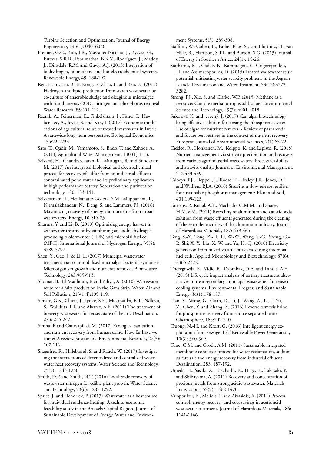Turbine Selection and Optimization. Journal of Energy Engineering, 143(1): 04016036.

Premier, G.C., Kim, J.R., Massanet-Nicolau, J., Kyazze, G., Esteves, S.R.R., Penumathsa, B.K.V., Rodríguez, J., Maddy, J., Dinsdale, R.M. and Guwy, A.J. (2013) Integration of biohydrogen, biomethane and bio-electrochemical systems. Renewable Energy, 49: 188-192.

Ren, H.-Y., Liu, B.-F., Kong, F., Zhao, L. and Ren, N. (2015) Hydrogen and lipid production from starch wastewater by co-culture of anaerobic sludge and oleaginous microalgae with simultaneous COD, nitrogen and phosphorus removal. Water Research, 85:404-412.

Reznik, A., Feinerman, E., Finkelshtain, I., Fisher, F., Huber-Lee, A., Joyce, B. and Kan, I. (2017) Economic implications of agricultural reuse of treated wastewater in Israel: A statewide long-term perspective. Ecological Economics, 135:222-233.

Sato, T., Qadir, M., Yamamoto, S., Endo, T. and Zahoor, A. (2013) Agricultural Water Management, 130 (1):1-13.

Selvaraj, H., Chandrasekaran, K., Murugan, R. and Sundaram, M. (2017) An integrated biological and electrochemical process for recovery of sulfur from an industrial effluent contaminated pond water and its preliminary application in high performance battery. Separation and purification technology, 180: 133-141.

Selvaratnam, T., Henkanatte-Gedera, S.M., Muppaneni, T., Nirmalakhandan, N., Deng, S. and Lammers, P.J. (2016) Maximizing recovery of energy and nutrients from urban wastewaters. Energy, 104:16-23.

Sharma, Y. and Li, B. (2010) Optimizing energy harvest in wastewater treatment by combining anaerobic hydrogen producing biofermentor (HPB) and microbial fuel cell (MFC). International Journal of Hydrogen Energy, 35(8): 3789-3797.

Shen, Y., Gao, J. & Li, L. (2017) Municipal wastewater treatment via co-immobilised microalgal-bacterial symbiosis: Microorganism growth and nutrients removal. Bioresource Technology, 243:905-913.

Shomar, B., El-Madhoun, F. and Yahya, A. (2010) Wastewater reuse for alfalfa production in the Gaza Strip. Water, Air and Soil Pollution, 213(1-4):105-119.

Simate, G.S., Cluett, J., Iyuke, S.E., Musapatika, E.T., Ndlovu, S., Walubita, L.F. and Alvarez, A.E. (2011) The treatment of brewery wastewater for reuse: State of the art. Desalination, 273: 235-247.

Simha, P. and Ganesapillai, M. (2017) Ecological sanitation and nutrient recovery from human urine: How far have we come? A review. Sustainable Environmental Research, 27(3): 107-116.

Sitzenfrei, R., Hillebrand, S. and Rauch, W. (2017) Investigating the interactions of decentralized and centralized wastewater heat recovery systems. Water Science and Technology, 75(5): 1243-1250.

Smith, D.P. and Smith, N.T. (2016) Local-scale recovery of wastewater nitrogen for edible plant growth. Water Science and Technology, 73(6): 1287-1292.

Spriet, J. and Hendrick, P. (2017) Wastewater as a heat source for individual residence heating: A techno-economic feasibility study in the Brussels Capital Region. Journal of Sustainable Development of Energy, Water and Environment Systems, 5(3): 289-308.

Stafford, W., Cohen, B., Pather-Elias, S., von Blottnitz, H., van Hille, R., Harrison, S.T.L. and Burton, S.G. (2013) Journal of Energy in Southern Africa, 24(1): 15-26.

Stathatou, P.- ., Gad, F.-K., Kampragou, E., Grigoropoulou, H. and Assimacopoulos, D. (2015) Treated wastewater reuse potential: mitigating water scarcity problems in the Aegean Islands. Desalination and Water Treatment, 53(12):3272- 3282.

Strong, P.J., Xie, S. and Clarke, W.P. (2015) Methane as a resource: Can the methanotrophs add value? Environmental Science and Technology, 49(7): 4001-4018.

Suka ová, K. and ervený, J. (2017) Can algal biotechnology bring effective solution for closing the phosphorus cycle? Use of algae for nutrient removal - Review of past trends and future perspectives in the context of nutrient recovery. European Journal of Environmental Sciences, 7(1):63-72.

Taddeo, R., Honkanen, M., Kolppo, K. and Lepistö, R. (2018) Nutrient management via struvite precipitation and recovery from various agroindustrial wastewaters: Process feasibility and struvite quality. Journal of Environmental Management, 212:433-439.

Talboys, P.J., Heppell, J., Roose, T., Healey, J.R., Jones, D.L. and Withers, P.J.A. (2016) Struvite: a slow-release fertiliser for sustainable phosphorus management? Plant and Soil, 401:109-123.

Tansens, P., Rodal, A.T., Machado, C.M.M. and Soares, H.M.V.M. (2011) Recycling of aluminium and caustic soda solution from waste effluents generated during the cleaning of the extruder matrices of the aluminium industry. Journal of Hazardous Materials, 187: 459-465.

Teng, S.-X., Tong, Z.-H., Li, W.-W., Wang, S.-G., Sheng, G.- P., Shi, X.-Y., Liu, X.-W. and Yu, H.-Q. (2010) Electricity generation from mixed volatile fatty acids using microbial fuel cells. Applied Microbiology and Biotechnology, 87(6): 2365-2372.

Theregowda, R., Vidic, R., Dzombak, D.A. and Landis, A.E. (2015) Life cycle impact analysis of tertiary treatment alternatives to treat secondary municipal wastewater for reuse in cooling systems. Environmental Progress and Sustainable Energy, 34(1):178-187.

Tian, X., Wang, G., Guan, D., Li, J., Wang, A., Li, J., Yu, Z., Chen, Y. and Zhang, Z. (2016) Reverse osmosis brine for phosphorus recovery from source separated urine. Chemosphere, 165:202-210.

Truong, N.-H. and Krost, G. (2016) Intelligent energy exploitation from sewage. IET Renewable Power Generation, 10(3): 360-369.

Tunc, C.M. and Groth, A.M. (2011) Sustainable integrated membrane contactor process for water reclamation, sodium sulfate salt and energy recovery from industrial effluent. Desalination, 283: 187-192.

Umeda, H., Sasaki, A., Takahashi, K., Haga, K., Takasaki, Y. and Shibayama, A. (2011) Recovery and concentration of precious metals from strong acidic wastewater. Materials Transactions, 52(7): 1462-1470.

Vaiopoulou, E., Melidis, P. and Aivasidis, A. (2011) Process control, energy recovery and cost savings in acetic acid wastewater treatment. Journal of Hazardous Materials, 186: 1141-1146.